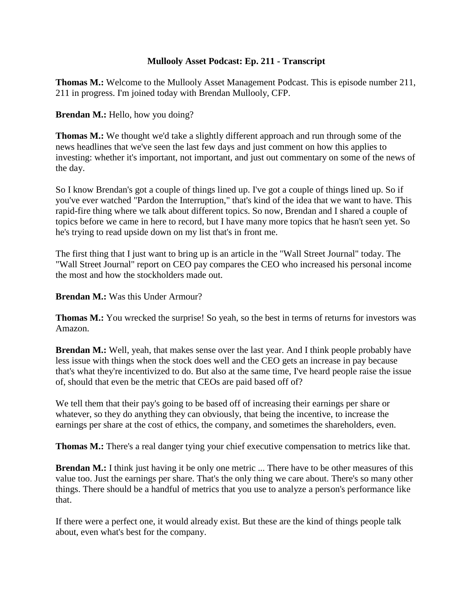## **Mullooly Asset Podcast: Ep. 211 - Transcript**

**Thomas M.:** Welcome to the Mullooly Asset Management Podcast. This is episode number 211, 211 in progress. I'm joined today with Brendan Mullooly, CFP.

**Brendan M.:** Hello, how you doing?

**Thomas M.:** We thought we'd take a slightly different approach and run through some of the news headlines that we've seen the last few days and just comment on how this applies to investing: whether it's important, not important, and just out commentary on some of the news of the day.

So I know Brendan's got a couple of things lined up. I've got a couple of things lined up. So if you've ever watched "Pardon the Interruption," that's kind of the idea that we want to have. This rapid-fire thing where we talk about different topics. So now, Brendan and I shared a couple of topics before we came in here to record, but I have many more topics that he hasn't seen yet. So he's trying to read upside down on my list that's in front me.

The first thing that I just want to bring up is an article in the "Wall Street Journal" today. The "Wall Street Journal" report on CEO pay compares the CEO who increased his personal income the most and how the stockholders made out.

**Brendan M.:** Was this Under Armour?

**Thomas M.:** You wrecked the surprise! So yeah, so the best in terms of returns for investors was Amazon.

**Brendan M.:** Well, yeah, that makes sense over the last year. And I think people probably have less issue with things when the stock does well and the CEO gets an increase in pay because that's what they're incentivized to do. But also at the same time, I've heard people raise the issue of, should that even be the metric that CEOs are paid based off of?

We tell them that their pay's going to be based off of increasing their earnings per share or whatever, so they do anything they can obviously, that being the incentive, to increase the earnings per share at the cost of ethics, the company, and sometimes the shareholders, even.

**Thomas M.:** There's a real danger tying your chief executive compensation to metrics like that.

**Brendan M.:** I think just having it be only one metric ... There have to be other measures of this value too. Just the earnings per share. That's the only thing we care about. There's so many other things. There should be a handful of metrics that you use to analyze a person's performance like that.

If there were a perfect one, it would already exist. But these are the kind of things people talk about, even what's best for the company.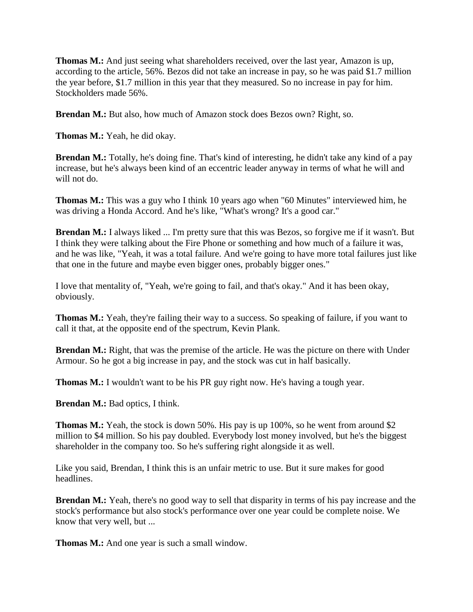**Thomas M.:** And just seeing what shareholders received, over the last year, Amazon is up, according to the article, 56%. Bezos did not take an increase in pay, so he was paid \$1.7 million the year before, \$1.7 million in this year that they measured. So no increase in pay for him. Stockholders made 56%.

**Brendan M.:** But also, how much of Amazon stock does Bezos own? Right, so.

**Thomas M.:** Yeah, he did okay.

**Brendan M.:** Totally, he's doing fine. That's kind of interesting, he didn't take any kind of a pay increase, but he's always been kind of an eccentric leader anyway in terms of what he will and will not do.

**Thomas M.:** This was a guy who I think 10 years ago when "60 Minutes" interviewed him, he was driving a Honda Accord. And he's like, "What's wrong? It's a good car."

**Brendan M.:** I always liked ... I'm pretty sure that this was Bezos, so forgive me if it wasn't. But I think they were talking about the Fire Phone or something and how much of a failure it was, and he was like, "Yeah, it was a total failure. And we're going to have more total failures just like that one in the future and maybe even bigger ones, probably bigger ones."

I love that mentality of, "Yeah, we're going to fail, and that's okay." And it has been okay, obviously.

**Thomas M.:** Yeah, they're failing their way to a success. So speaking of failure, if you want to call it that, at the opposite end of the spectrum, Kevin Plank.

**Brendan M.:** Right, that was the premise of the article. He was the picture on there with Under Armour. So he got a big increase in pay, and the stock was cut in half basically.

**Thomas M.:** I wouldn't want to be his PR guy right now. He's having a tough year.

**Brendan M.:** Bad optics, I think.

**Thomas M.:** Yeah, the stock is down 50%. His pay is up 100%, so he went from around \$2 million to \$4 million. So his pay doubled. Everybody lost money involved, but he's the biggest shareholder in the company too. So he's suffering right alongside it as well.

Like you said, Brendan, I think this is an unfair metric to use. But it sure makes for good headlines.

**Brendan M.:** Yeah, there's no good way to sell that disparity in terms of his pay increase and the stock's performance but also stock's performance over one year could be complete noise. We know that very well, but ...

**Thomas M.:** And one year is such a small window.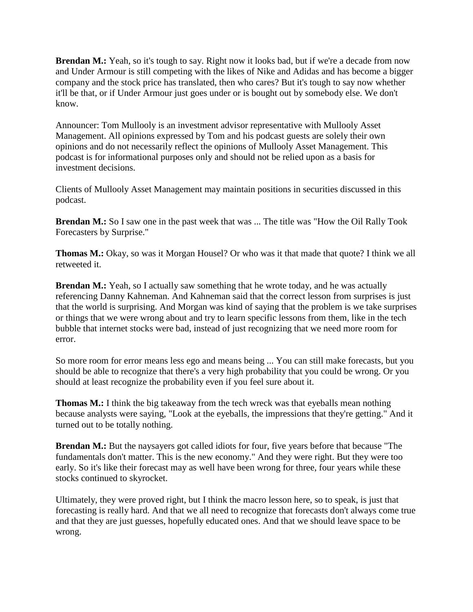**Brendan M.:** Yeah, so it's tough to say. Right now it looks bad, but if we're a decade from now and Under Armour is still competing with the likes of Nike and Adidas and has become a bigger company and the stock price has translated, then who cares? But it's tough to say now whether it'll be that, or if Under Armour just goes under or is bought out by somebody else. We don't know.

Announcer: Tom Mullooly is an investment advisor representative with Mullooly Asset Management. All opinions expressed by Tom and his podcast guests are solely their own opinions and do not necessarily reflect the opinions of Mullooly Asset Management. This podcast is for informational purposes only and should not be relied upon as a basis for investment decisions.

Clients of Mullooly Asset Management may maintain positions in securities discussed in this podcast.

**Brendan M.:** So I saw one in the past week that was ... The title was "How the Oil Rally Took" Forecasters by Surprise."

**Thomas M.:** Okay, so was it Morgan Housel? Or who was it that made that quote? I think we all retweeted it.

**Brendan M.:** Yeah, so I actually saw something that he wrote today, and he was actually referencing Danny Kahneman. And Kahneman said that the correct lesson from surprises is just that the world is surprising. And Morgan was kind of saying that the problem is we take surprises or things that we were wrong about and try to learn specific lessons from them, like in the tech bubble that internet stocks were bad, instead of just recognizing that we need more room for error.

So more room for error means less ego and means being ... You can still make forecasts, but you should be able to recognize that there's a very high probability that you could be wrong. Or you should at least recognize the probability even if you feel sure about it.

**Thomas M.:** I think the big takeaway from the tech wreck was that eyeballs mean nothing because analysts were saying, "Look at the eyeballs, the impressions that they're getting." And it turned out to be totally nothing.

**Brendan M.:** But the naysayers got called idiots for four, five years before that because "The fundamentals don't matter. This is the new economy." And they were right. But they were too early. So it's like their forecast may as well have been wrong for three, four years while these stocks continued to skyrocket.

Ultimately, they were proved right, but I think the macro lesson here, so to speak, is just that forecasting is really hard. And that we all need to recognize that forecasts don't always come true and that they are just guesses, hopefully educated ones. And that we should leave space to be wrong.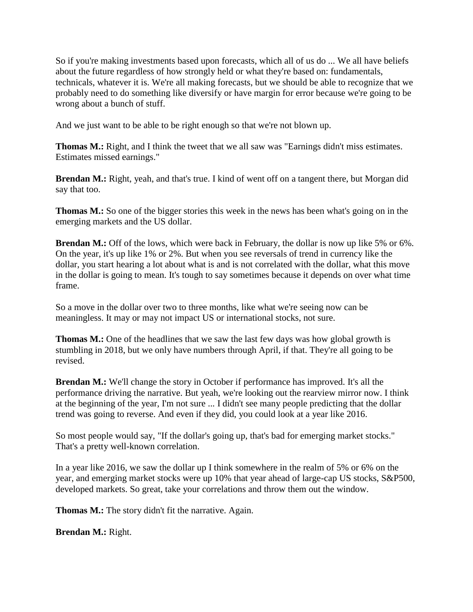So if you're making investments based upon forecasts, which all of us do ... We all have beliefs about the future regardless of how strongly held or what they're based on: fundamentals, technicals, whatever it is. We're all making forecasts, but we should be able to recognize that we probably need to do something like diversify or have margin for error because we're going to be wrong about a bunch of stuff.

And we just want to be able to be right enough so that we're not blown up.

**Thomas M.:** Right, and I think the tweet that we all saw was "Earnings didn't miss estimates. Estimates missed earnings."

**Brendan M.:** Right, yeah, and that's true. I kind of went off on a tangent there, but Morgan did say that too.

**Thomas M.:** So one of the bigger stories this week in the news has been what's going on in the emerging markets and the US dollar.

**Brendan M.:** Off of the lows, which were back in February, the dollar is now up like 5% or 6%. On the year, it's up like 1% or 2%. But when you see reversals of trend in currency like the dollar, you start hearing a lot about what is and is not correlated with the dollar, what this move in the dollar is going to mean. It's tough to say sometimes because it depends on over what time frame.

So a move in the dollar over two to three months, like what we're seeing now can be meaningless. It may or may not impact US or international stocks, not sure.

**Thomas M.:** One of the headlines that we saw the last few days was how global growth is stumbling in 2018, but we only have numbers through April, if that. They're all going to be revised.

**Brendan M.:** We'll change the story in October if performance has improved. It's all the performance driving the narrative. But yeah, we're looking out the rearview mirror now. I think at the beginning of the year, I'm not sure ... I didn't see many people predicting that the dollar trend was going to reverse. And even if they did, you could look at a year like 2016.

So most people would say, "If the dollar's going up, that's bad for emerging market stocks." That's a pretty well-known correlation.

In a year like 2016, we saw the dollar up I think somewhere in the realm of 5% or 6% on the year, and emerging market stocks were up 10% that year ahead of large-cap US stocks, S&P500, developed markets. So great, take your correlations and throw them out the window.

**Thomas M.:** The story didn't fit the narrative. Again.

**Brendan M.:** Right.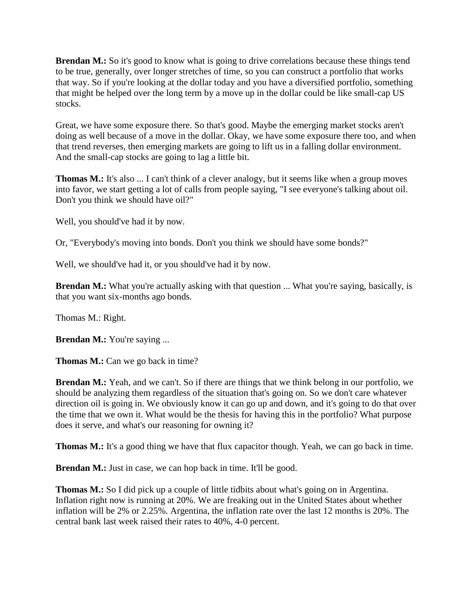**Brendan M.:** So it's good to know what is going to drive correlations because these things tend to be true, generally, over longer stretches of time, so you can construct a portfolio that works that way. So if you're looking at the dollar today and you have a diversified portfolio, something that might be helped over the long term by a move up in the dollar could be like small-cap US stocks.

Great, we have some exposure there. So that's good. Maybe the emerging market stocks aren't doing as well because of a move in the dollar. Okay, we have some exposure there too, and when that trend reverses, then emerging markets are going to lift us in a falling dollar environment. And the small-cap stocks are going to lag a little bit.

**Thomas M.:** It's also ... I can't think of a clever analogy, but it seems like when a group moves into favor, we start getting a lot of calls from people saying, "I see everyone's talking about oil. Don't you think we should have oil?"

Well, you should've had it by now.

Or, "Everybody's moving into bonds. Don't you think we should have some bonds?"

Well, we should've had it, or you should've had it by now.

**Brendan M.:** What you're actually asking with that question ... What you're saying, basically, is that you want six-months ago bonds.

Thomas M.: Right.

**Brendan M.:** You're saying ...

**Thomas M.:** Can we go back in time?

**Brendan M.:** Yeah, and we can't. So if there are things that we think belong in our portfolio, we should be analyzing them regardless of the situation that's going on. So we don't care whatever direction oil is going in. We obviously know it can go up and down, and it's going to do that over the time that we own it. What would be the thesis for having this in the portfolio? What purpose does it serve, and what's our reasoning for owning it?

**Thomas M.:** It's a good thing we have that flux capacitor though. Yeah, we can go back in time.

**Brendan M.:** Just in case, we can hop back in time. It'll be good.

**Thomas M.:** So I did pick up a couple of little tidbits about what's going on in Argentina. Inflation right now is running at 20%. We are freaking out in the United States about whether inflation will be 2% or 2.25%. Argentina, the inflation rate over the last 12 months is 20%. The central bank last week raised their rates to 40%, 4-0 percent.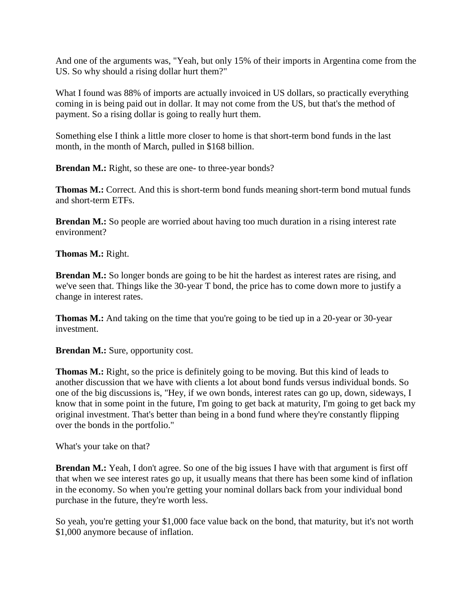And one of the arguments was, "Yeah, but only 15% of their imports in Argentina come from the US. So why should a rising dollar hurt them?"

What I found was 88% of imports are actually invoiced in US dollars, so practically everything coming in is being paid out in dollar. It may not come from the US, but that's the method of payment. So a rising dollar is going to really hurt them.

Something else I think a little more closer to home is that short-term bond funds in the last month, in the month of March, pulled in \$168 billion.

**Brendan M.:** Right, so these are one- to three-year bonds?

**Thomas M.:** Correct. And this is short-term bond funds meaning short-term bond mutual funds and short-term ETFs.

**Brendan M.:** So people are worried about having too much duration in a rising interest rate environment?

**Thomas M.:** Right.

**Brendan M.:** So longer bonds are going to be hit the hardest as interest rates are rising, and we've seen that. Things like the 30-year T bond, the price has to come down more to justify a change in interest rates.

**Thomas M.:** And taking on the time that you're going to be tied up in a 20-year or 30-year investment.

**Brendan M.:** Sure, opportunity cost.

**Thomas M.:** Right, so the price is definitely going to be moving. But this kind of leads to another discussion that we have with clients a lot about bond funds versus individual bonds. So one of the big discussions is, "Hey, if we own bonds, interest rates can go up, down, sideways, I know that in some point in the future, I'm going to get back at maturity, I'm going to get back my original investment. That's better than being in a bond fund where they're constantly flipping over the bonds in the portfolio."

What's your take on that?

**Brendan M.:** Yeah, I don't agree. So one of the big issues I have with that argument is first off that when we see interest rates go up, it usually means that there has been some kind of inflation in the economy. So when you're getting your nominal dollars back from your individual bond purchase in the future, they're worth less.

So yeah, you're getting your \$1,000 face value back on the bond, that maturity, but it's not worth \$1,000 anymore because of inflation.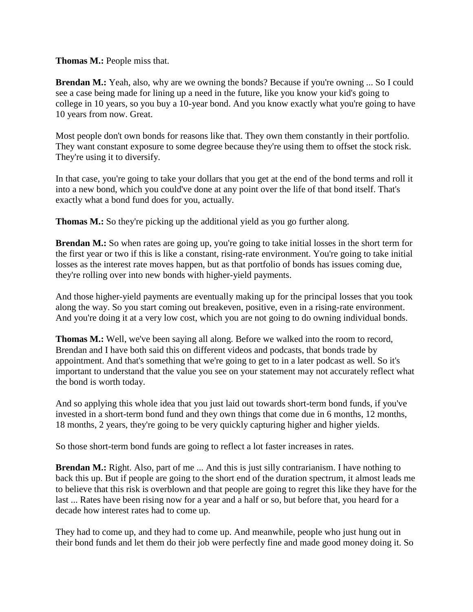**Thomas M.:** People miss that.

**Brendan M.:** Yeah, also, why are we owning the bonds? Because if you're owning ... So I could see a case being made for lining up a need in the future, like you know your kid's going to college in 10 years, so you buy a 10-year bond. And you know exactly what you're going to have 10 years from now. Great.

Most people don't own bonds for reasons like that. They own them constantly in their portfolio. They want constant exposure to some degree because they're using them to offset the stock risk. They're using it to diversify.

In that case, you're going to take your dollars that you get at the end of the bond terms and roll it into a new bond, which you could've done at any point over the life of that bond itself. That's exactly what a bond fund does for you, actually.

**Thomas M.:** So they're picking up the additional yield as you go further along.

**Brendan M.:** So when rates are going up, you're going to take initial losses in the short term for the first year or two if this is like a constant, rising-rate environment. You're going to take initial losses as the interest rate moves happen, but as that portfolio of bonds has issues coming due, they're rolling over into new bonds with higher-yield payments.

And those higher-yield payments are eventually making up for the principal losses that you took along the way. So you start coming out breakeven, positive, even in a rising-rate environment. And you're doing it at a very low cost, which you are not going to do owning individual bonds.

**Thomas M.:** Well, we've been saying all along. Before we walked into the room to record, Brendan and I have both said this on different videos and podcasts, that bonds trade by appointment. And that's something that we're going to get to in a later podcast as well. So it's important to understand that the value you see on your statement may not accurately reflect what the bond is worth today.

And so applying this whole idea that you just laid out towards short-term bond funds, if you've invested in a short-term bond fund and they own things that come due in 6 months, 12 months, 18 months, 2 years, they're going to be very quickly capturing higher and higher yields.

So those short-term bond funds are going to reflect a lot faster increases in rates.

**Brendan M.:** Right. Also, part of me ... And this is just silly contrarianism. I have nothing to back this up. But if people are going to the short end of the duration spectrum, it almost leads me to believe that this risk is overblown and that people are going to regret this like they have for the last ... Rates have been rising now for a year and a half or so, but before that, you heard for a decade how interest rates had to come up.

They had to come up, and they had to come up. And meanwhile, people who just hung out in their bond funds and let them do their job were perfectly fine and made good money doing it. So